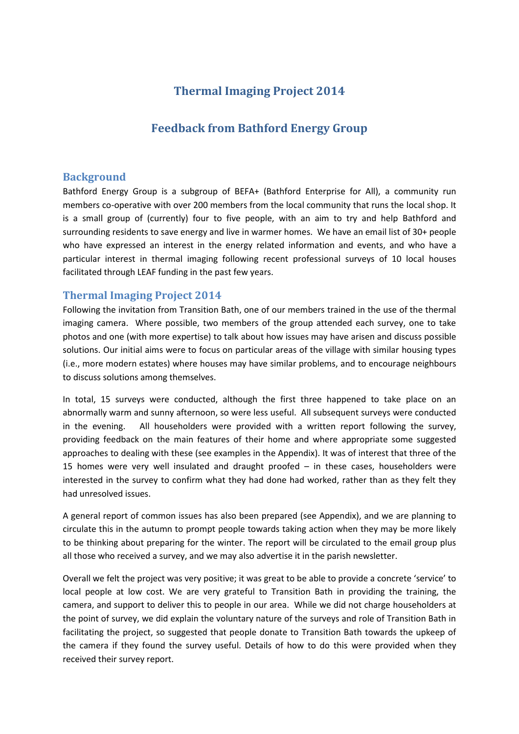# **Thermal Imaging Project 2014**

# **Feedback from Bathford Energy Group**

## **Background**

Bathford Energy Group is a subgroup of BEFA+ (Bathford Enterprise for All), a community run members co-operative with over 200 members from the local community that runs the local shop. It is a small group of (currently) four to five people, with an aim to try and help Bathford and surrounding residents to save energy and live in warmer homes. We have an email list of 30+ people who have expressed an interest in the energy related information and events, and who have a particular interest in thermal imaging following recent professional surveys of 10 local houses facilitated through LEAF funding in the past few years.

# **Thermal Imaging Project 2014**

Following the invitation from Transition Bath, one of our members trained in the use of the thermal imaging camera. Where possible, two members of the group attended each survey, one to take photos and one (with more expertise) to talk about how issues may have arisen and discuss possible solutions. Our initial aims were to focus on particular areas of the village with similar housing types (i.e., more modern estates) where houses may have similar problems, and to encourage neighbours to discuss solutions among themselves.

In total, 15 surveys were conducted, although the first three happened to take place on an abnormally warm and sunny afternoon, so were less useful. All subsequent surveys were conducted in the evening. All householders were provided with a written report following the survey, providing feedback on the main features of their home and where appropriate some suggested approaches to dealing with these (see examples in the Appendix). It was of interest that three of the 15 homes were very well insulated and draught proofed – in these cases, householders were interested in the survey to confirm what they had done had worked, rather than as they felt they had unresolved issues.

A general report of common issues has also been prepared (see Appendix), and we are planning to circulate this in the autumn to prompt people towards taking action when they may be more likely to be thinking about preparing for the winter. The report will be circulated to the email group plus all those who received a survey, and we may also advertise it in the parish newsletter.

Overall we felt the project was very positive; it was great to be able to provide a concrete 'service' to local people at low cost. We are very grateful to Transition Bath in providing the training, the camera, and support to deliver this to people in our area. While we did not charge householders at the point of survey, we did explain the voluntary nature of the surveys and role of Transition Bath in facilitating the project, so suggested that people donate to Transition Bath towards the upkeep of the camera if they found the survey useful. Details of how to do this were provided when they received their survey report.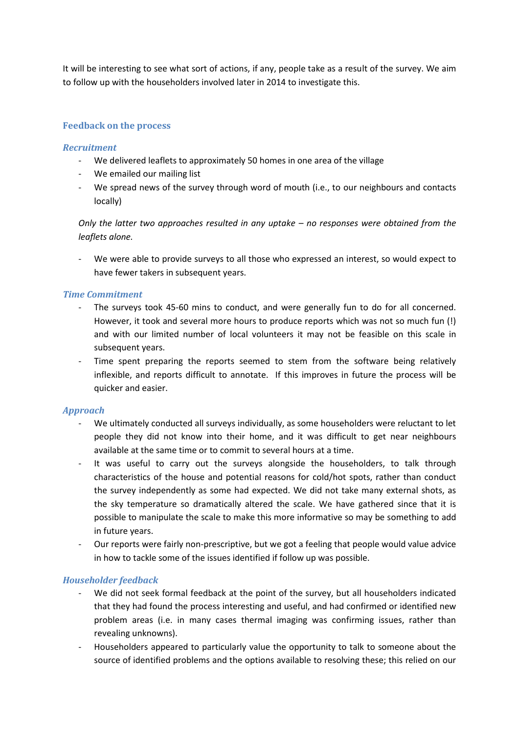It will be interesting to see what sort of actions, if any, people take as a result of the survey. We aim to follow up with the householders involved later in 2014 to investigate this.

## **Feedback on the process**

#### *Recruitment*

- We delivered leaflets to approximately 50 homes in one area of the village
- We emailed our mailing list
- We spread news of the survey through word of mouth (i.e., to our neighbours and contacts locally)

*Only the latter two approaches resulted in any uptake – no responses were obtained from the leaflets alone.* 

We were able to provide surveys to all those who expressed an interest, so would expect to have fewer takers in subsequent years.

#### *Time Commitment*

- The surveys took 45-60 mins to conduct, and were generally fun to do for all concerned. However, it took and several more hours to produce reports which was not so much fun (!) and with our limited number of local volunteers it may not be feasible on this scale in subsequent years.
- Time spent preparing the reports seemed to stem from the software being relatively inflexible, and reports difficult to annotate. If this improves in future the process will be quicker and easier.

#### *Approach*

- We ultimately conducted all surveys individually, as some householders were reluctant to let people they did not know into their home, and it was difficult to get near neighbours available at the same time or to commit to several hours at a time.
- It was useful to carry out the surveys alongside the householders, to talk through characteristics of the house and potential reasons for cold/hot spots, rather than conduct the survey independently as some had expected. We did not take many external shots, as the sky temperature so dramatically altered the scale. We have gathered since that it is possible to manipulate the scale to make this more informative so may be something to add in future years.
- Our reports were fairly non-prescriptive, but we got a feeling that people would value advice in how to tackle some of the issues identified if follow up was possible.

### *Householder feedback*

- We did not seek formal feedback at the point of the survey, but all householders indicated that they had found the process interesting and useful, and had confirmed or identified new problem areas (i.e. in many cases thermal imaging was confirming issues, rather than revealing unknowns).
- Householders appeared to particularly value the opportunity to talk to someone about the source of identified problems and the options available to resolving these; this relied on our